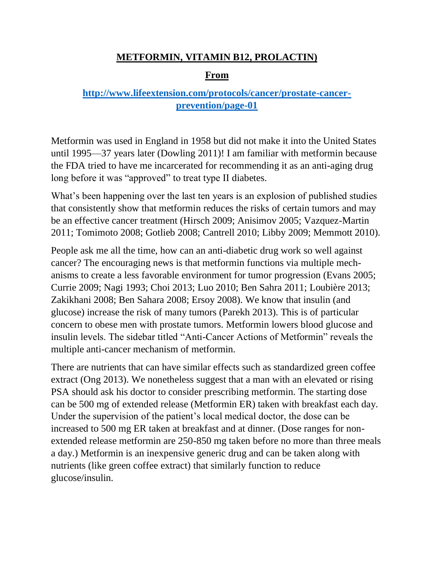### **METFORMIN, VITAMIN B12, PROLACTIN)**

#### **From**

## **[http://www.lifeextension.com/protocols/cancer/prostate-cancer](http://www.lifeextension.com/protocols/cancer/prostate-cancer-prevention/page-01)[prevention/page-01](http://www.lifeextension.com/protocols/cancer/prostate-cancer-prevention/page-01)**

Metformin was used in England in 1958 but did not make it into the United States until 1995—37 years later (Dowling 2011)! I am familiar with metformin because the FDA tried to have me incarcerated for recommending it as an anti-aging drug long before it was "approved" to treat type II diabetes.

What's been happening over the last ten years is an explosion of published studies that consistently show that metformin reduces the risks of certain tumors and may be an effective cancer treatment (Hirsch 2009; Anisimov 2005; Vazquez-Martin 2011; Tomimoto 2008; Gotlieb 2008; Cantrell 2010; Libby 2009; Memmott 2010).

People ask me all the time, how can an anti-diabetic drug work so well against cancer? The encouraging news is that metformin functions via multiple mechanisms to create a less favorable environment for tumor progression (Evans 2005; Currie 2009; Nagi 1993; Choi 2013; Luo 2010; Ben Sahra 2011; Loubière 2013; Zakikhani 2008; Ben Sahara 2008; Ersoy 2008). We know that insulin (and glucose) increase the risk of many tumors (Parekh 2013). This is of particular concern to obese men with prostate tumors. Metformin lowers blood glucose and insulin levels. The sidebar titled "Anti-Cancer Actions of Metformin" reveals the multiple anti-cancer mechanism of metformin.

There are nutrients that can have similar effects such as standardized green coffee extract (Ong 2013). We nonetheless suggest that a man with an elevated or rising PSA should ask his doctor to consider prescribing metformin. The starting dose can be 500 mg of extended release (Metformin ER) taken with breakfast each day. Under the supervision of the patient's local medical doctor, the dose can be increased to 500 mg ER taken at breakfast and at dinner. (Dose ranges for nonextended release metformin are 250-850 mg taken before no more than three meals a day.) Metformin is an inexpensive generic drug and can be taken along with nutrients (like green coffee extract) that similarly function to reduce glucose/insulin.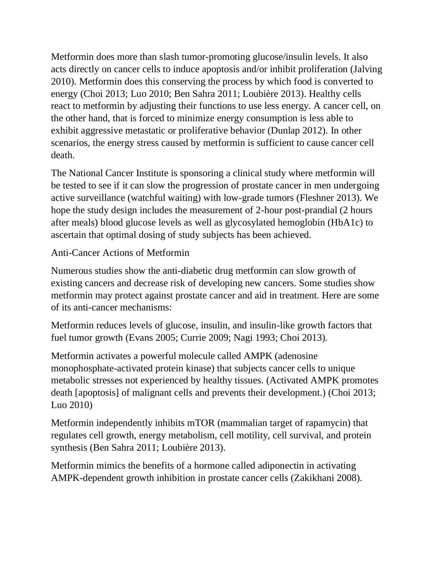Metformin does more than slash tumor-promoting glucose/insulin levels. It also acts directly on cancer cells to induce apoptosis and/or inhibit proliferation (Jalving 2010). Metformin does this conserving the process by which food is converted to energy (Choi 2013; Luo 2010; Ben Sahra 2011; Loubière 2013). Healthy cells react to metformin by adjusting their functions to use less energy. A cancer cell, on the other hand, that is forced to minimize energy consumption is less able to exhibit aggressive metastatic or proliferative behavior (Dunlap 2012). In other scenarios, the energy stress caused by metformin is sufficient to cause cancer cell death.

The National Cancer Institute is sponsoring a clinical study where metformin will be tested to see if it can slow the progression of prostate cancer in men undergoing active surveillance (watchful waiting) with low-grade tumors (Fleshner 2013). We hope the study design includes the measurement of 2-hour post-prandial (2 hours after meals) blood glucose levels as well as glycosylated hemoglobin (HbA1c) to ascertain that optimal dosing of study subjects has been achieved.

## Anti-Cancer Actions of Metformin

Numerous studies show the anti-diabetic drug metformin can slow growth of existing cancers and decrease risk of developing new cancers. Some studies show metformin may protect against prostate cancer and aid in treatment. Here are some of its anti-cancer mechanisms:

Metformin reduces levels of glucose, insulin, and insulin-like growth factors that fuel tumor growth (Evans 2005; Currie 2009; Nagi 1993; Choi 2013).

Metformin activates a powerful molecule called AMPK (adenosine monophosphate-activated protein kinase) that subjects cancer cells to unique metabolic stresses not experienced by healthy tissues. (Activated AMPK promotes death [apoptosis] of malignant cells and prevents their development.) (Choi 2013; Luo 2010)

Metformin independently inhibits mTOR (mammalian target of rapamycin) that regulates cell growth, energy metabolism, cell motility, cell survival, and protein synthesis (Ben Sahra 2011; Loubière 2013).

Metformin mimics the benefits of a hormone called adiponectin in activating AMPK-dependent growth inhibition in prostate cancer cells (Zakikhani 2008).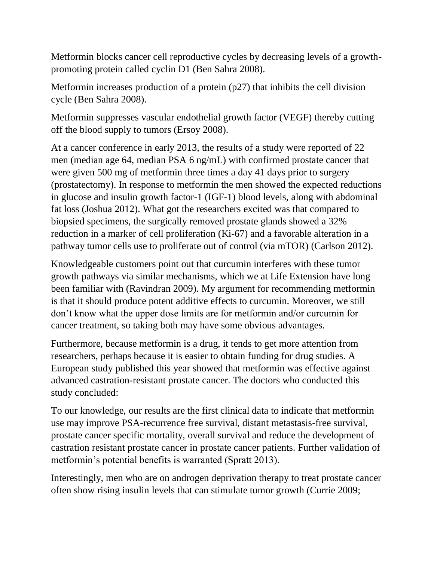Metformin blocks cancer cell reproductive cycles by decreasing levels of a growthpromoting protein called cyclin D1 (Ben Sahra 2008).

Metformin increases production of a protein (p27) that inhibits the cell division cycle (Ben Sahra 2008).

Metformin suppresses vascular endothelial growth factor (VEGF) thereby cutting off the blood supply to tumors (Ersoy 2008).

At a cancer conference in early 2013, the results of a study were reported of 22 men (median age 64, median PSA 6 ng/mL) with confirmed prostate cancer that were given 500 mg of metformin three times a day 41 days prior to surgery (prostatectomy). In response to metformin the men showed the expected reductions in glucose and insulin growth factor-1 (IGF-1) blood levels, along with abdominal fat loss (Joshua 2012). What got the researchers excited was that compared to biopsied specimens, the surgically removed prostate glands showed a 32% reduction in a marker of cell proliferation (Ki-67) and a favorable alteration in a pathway tumor cells use to proliferate out of control (via mTOR) (Carlson 2012).

Knowledgeable customers point out that curcumin interferes with these tumor growth pathways via similar mechanisms, which we at Life Extension have long been familiar with (Ravindran 2009). My argument for recommending metformin is that it should produce potent additive effects to curcumin. Moreover, we still don't know what the upper dose limits are for metformin and/or curcumin for cancer treatment, so taking both may have some obvious advantages.

Furthermore, because metformin is a drug, it tends to get more attention from researchers, perhaps because it is easier to obtain funding for drug studies. A European study published this year showed that metformin was effective against advanced castration-resistant prostate cancer. The doctors who conducted this study concluded:

To our knowledge, our results are the first clinical data to indicate that metformin use may improve PSA-recurrence free survival, distant metastasis-free survival, prostate cancer specific mortality, overall survival and reduce the development of castration resistant prostate cancer in prostate cancer patients. Further validation of metformin's potential benefits is warranted (Spratt 2013).

Interestingly, men who are on androgen deprivation therapy to treat prostate cancer often show rising insulin levels that can stimulate tumor growth (Currie 2009;